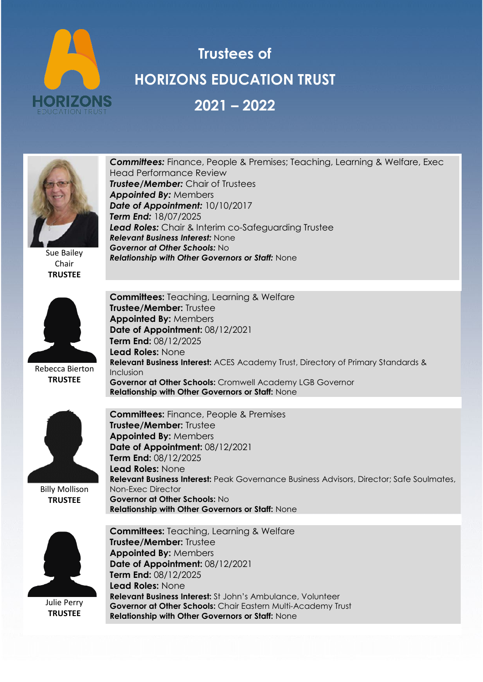

## **Trustees of HORIZONS EDUCATION TRUST 2021 – 2022**



Sue Bailey Chair **TRUSTEE**



Rebecca Bierton **TRUSTEE**



Billy Mollison **TRUSTEE**



Julie Perry **TRUSTEE**

*Committees:* Finance, People & Premises; Teaching, Learning & Welfare, Exec Head Performance Review *Trustee/Member:* Chair of Trustees *Appointed By:* Members *Date of Appointment:* 10/10/2017 *Term End:* 18/07/2025 *Lead Roles:* Chair & Interim co-Safeguarding Trustee *Relevant Business Interest:* None *Governor at Other Schools:* No *Relationship with Other Governors or Staff:* None

**Committees:** Teaching, Learning & Welfare **Trustee/Member:** Trustee **Appointed By:** Members **Date of Appointment:** 08/12/2021 **Term End:** 08/12/2025 **Lead Roles:** None **Relevant Business Interest:** ACES Academy Trust, Directory of Primary Standards & Inclusion **Governor at Other Schools:** Cromwell Academy LGB Governor **Relationship with Other Governors or Staff:** None

**Committees:** Finance, People & Premises **Trustee/Member:** Trustee **Appointed By:** Members **Date of Appointment:** 08/12/2021 **Term End:** 08/12/2025 **Lead Roles:** None **Relevant Business Interest:** Peak Governance Business Advisors, Director; Safe Soulmates, Non-Exec Director **Governor at Other Schools:** No **Relationship with Other Governors or Staff:** None

**Committees:** Teaching, Learning & Welfare **Trustee/Member:** Trustee **Appointed By:** Members **Date of Appointment:** 08/12/2021 **Term End:** 08/12/2025 **Lead Roles:** None **Relevant Business Interest:** St John's Ambulance, Volunteer **Governor at Other Schools:** Chair Eastern Multi-Academy Trust **Relationship with Other Governors or Staff:** None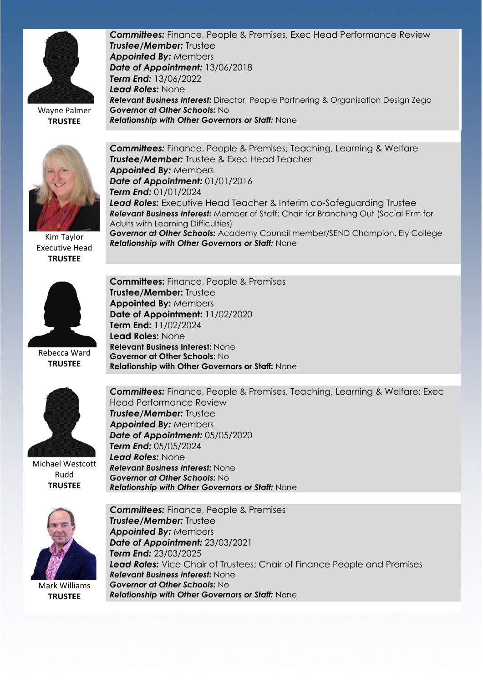

**TRUSTEE**

*Committees:* Finance, People & Premises, Exec Head Performance Review *Trustee/Member:* Trustee *Appointed By:* Members *Date of Appointment:* 13/06/2018 *Term End:* 13/06/2022 *Lead Roles:* None *Relevant Business Interest:* Director, People Partnering & Organisation Design Zego *Governor at Other Schools:* No *Relationship with Other Governors or Staff:* None



Kim Taylor Executive Head **TRUSTEE**



Rebecca Ward **TRUSTEE**



Michael Westcott Rudd **TRUSTEE**



Mark Williams **TRUSTEE**

*Committees:* Finance, People & Premises; Teaching, Learning & Welfare *Trustee/Member:* Trustee & Exec Head Teacher *Appointed By:* Members *Date of Appointment:* 01/01/2016 *Term End:* 01/01/2024 **Lead Roles:** Executive Head Teacher & Interim co-Safeguarding Trustee *Relevant Business Interest:* Member of Staff; Chair for Branching Out (Social Firm for Adults with Learning Difficulties) *Governor at Other Schools:* Academy Council member/SEND Champion, Ely College *Relationship with Other Governors or Staff:* None

**Committees:** Finance, People & Premises **Trustee/Member:** Trustee **Appointed By:** Members **Date of Appointment:** 11/02/2020 **Term End:** 11/02/2024 **Lead Roles:** None **Relevant Business Interest:** None **Governor at Other Schools:** No **Relationship with Other Governors or Staff:** None

*Committees:* Finance, People & Premises, Teaching, Learning & Welfare; Exec Head Performance Review *Trustee/Member:* Trustee *Appointed By:* Members *Date of Appointment:* 05/05/2020 *Term End:* 05/05/2024 *Lead Roles:* None *Relevant Business Interest:* None *Governor at Other Schools:* No *Relationship with Other Governors or Staff:* None

*Committees:* Finance, People & Premises *Trustee/Member:* Trustee *Appointed By:* Members *Date of Appointment:* 23/03/2021 *Term End:* 23/03/2025 *Lead Roles:* Vice Chair of Trustees; Chair of Finance People and Premises *Relevant Business Interest:* None *Governor at Other Schools:* No *Relationship with Other Governors or Staff:* None